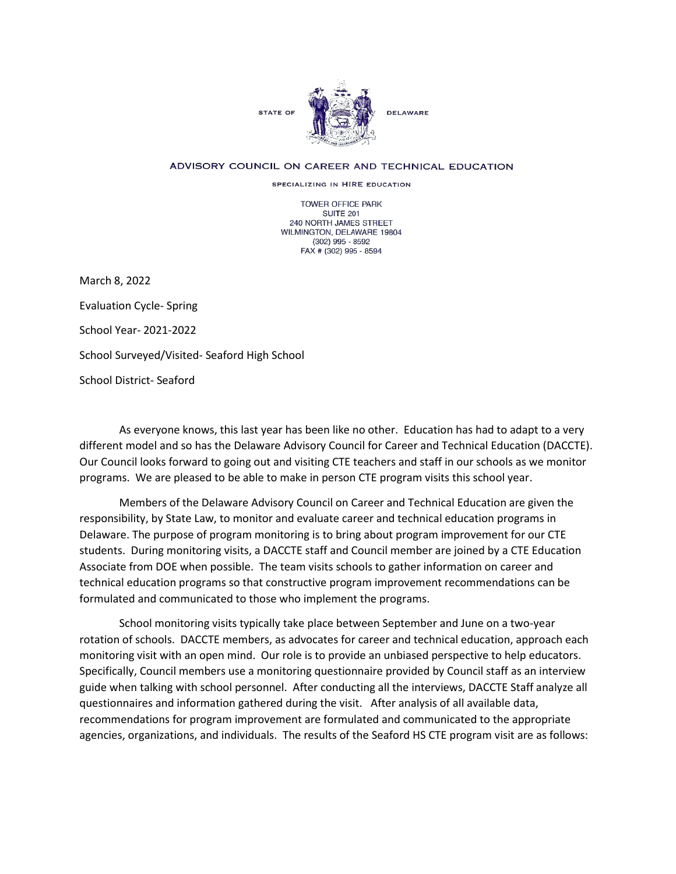

## ADVISORY COUNCIL ON CAREER AND TECHNICAL EDUCATION

SPECIALIZING IN HIRE EDUCATION

TOWER OFFICE PARK SUITE 201 240 NORTH JAMES STREET WILMINGTON, DELAWARE 19804 (302) 995 - 8592 FAX # (302) 995 - 8594

March 8, 2022 Evaluation Cycle- Spring School Year- 2021-2022 School Surveyed/Visited- Seaford High School School District- Seaford

 programs. We are pleased to be able to make in person CTE program visits this school year. As everyone knows, this last year has been like no other. Education has had to adapt to a very different model and so has the Delaware Advisory Council for Career and Technical Education (DACCTE). Our Council looks forward to going out and visiting CTE teachers and staff in our schools as we monitor

 responsibility, by State Law, to monitor and evaluate career and technical education programs in Members of the Delaware Advisory Council on Career and Technical Education are given the Delaware. The purpose of program monitoring is to bring about program improvement for our CTE students. During monitoring visits, a DACCTE staff and Council member are joined by a CTE Education Associate from DOE when possible. The team visits schools to gather information on career and technical education programs so that constructive program improvement recommendations can be formulated and communicated to those who implement the programs.

 rotation of schools. DACCTE members, as advocates for career and technical education, approach each agencies, organizations, and individuals. The results of the Seaford HS CTE program visit are as follows: School monitoring visits typically take place between September and June on a two-year monitoring visit with an open mind. Our role is to provide an unbiased perspective to help educators. Specifically, Council members use a monitoring questionnaire provided by Council staff as an interview guide when talking with school personnel. After conducting all the interviews, DACCTE Staff analyze all questionnaires and information gathered during the visit. After analysis of all available data, recommendations for program improvement are formulated and communicated to the appropriate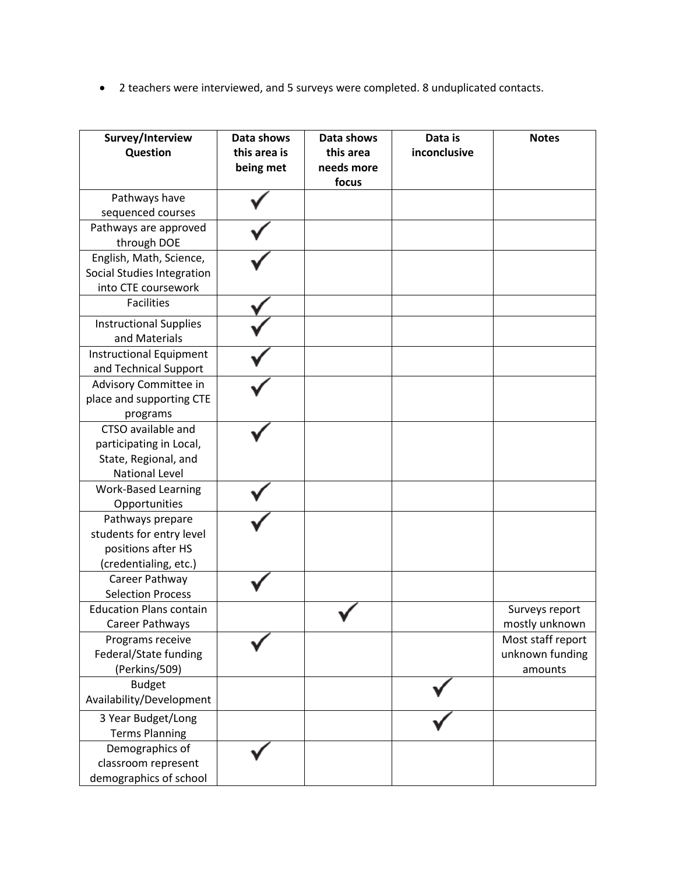• 2 teachers were interviewed, and 5 surveys were completed. 8 unduplicated contacts.

| Survey/Interview<br>Question   | Data shows<br>this area is<br>being met | Data shows<br>this area<br>needs more<br>focus | Data is<br>inconclusive | <b>Notes</b>      |
|--------------------------------|-----------------------------------------|------------------------------------------------|-------------------------|-------------------|
| Pathways have                  |                                         |                                                |                         |                   |
| sequenced courses              |                                         |                                                |                         |                   |
| Pathways are approved          |                                         |                                                |                         |                   |
| through DOE                    |                                         |                                                |                         |                   |
| English, Math, Science,        |                                         |                                                |                         |                   |
| Social Studies Integration     |                                         |                                                |                         |                   |
| into CTE coursework            |                                         |                                                |                         |                   |
| <b>Facilities</b>              |                                         |                                                |                         |                   |
| <b>Instructional Supplies</b>  |                                         |                                                |                         |                   |
| and Materials                  |                                         |                                                |                         |                   |
| <b>Instructional Equipment</b> |                                         |                                                |                         |                   |
| and Technical Support          |                                         |                                                |                         |                   |
| Advisory Committee in          |                                         |                                                |                         |                   |
| place and supporting CTE       |                                         |                                                |                         |                   |
| programs                       |                                         |                                                |                         |                   |
| CTSO available and             |                                         |                                                |                         |                   |
| participating in Local,        |                                         |                                                |                         |                   |
| State, Regional, and           |                                         |                                                |                         |                   |
| <b>National Level</b>          |                                         |                                                |                         |                   |
| <b>Work-Based Learning</b>     |                                         |                                                |                         |                   |
| Opportunities                  |                                         |                                                |                         |                   |
| Pathways prepare               |                                         |                                                |                         |                   |
| students for entry level       |                                         |                                                |                         |                   |
| positions after HS             |                                         |                                                |                         |                   |
| (credentialing, etc.)          |                                         |                                                |                         |                   |
| Career Pathway                 |                                         |                                                |                         |                   |
| <b>Selection Process</b>       |                                         |                                                |                         |                   |
| <b>Education Plans contain</b> |                                         |                                                |                         | Surveys report    |
| Career Pathways                |                                         |                                                |                         | mostly unknown    |
| Programs receive               |                                         |                                                |                         | Most staff report |
| Federal/State funding          |                                         |                                                |                         | unknown funding   |
| (Perkins/509)                  |                                         |                                                |                         | amounts           |
| <b>Budget</b>                  |                                         |                                                |                         |                   |
| Availability/Development       |                                         |                                                |                         |                   |
| 3 Year Budget/Long             |                                         |                                                |                         |                   |
| <b>Terms Planning</b>          |                                         |                                                |                         |                   |
| Demographics of                |                                         |                                                |                         |                   |
| classroom represent            |                                         |                                                |                         |                   |
| demographics of school         |                                         |                                                |                         |                   |